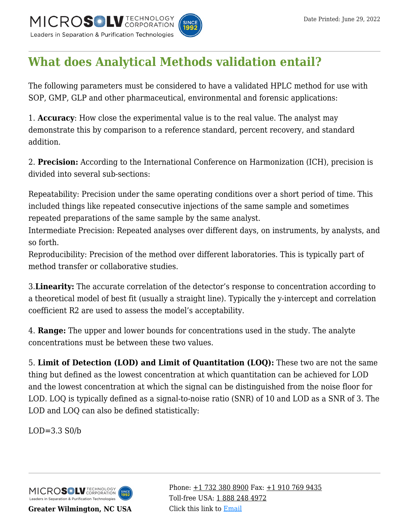

## **[What does Analytical Methods validation entail?](https://kb.mtc-usa.com/article/aa-01509/46/)**

The following parameters must be considered to have a validated HPLC method for use with SOP, GMP, GLP and other pharmaceutical, environmental and forensic applications:

1. **Accuracy**: How close the experimental value is to the real value. The analyst may demonstrate this by comparison to a reference standard, percent recovery, and standard addition.

2. **Precision:** According to the International Conference on Harmonization (ICH), precision is divided into several sub-sections:

Repeatability: Precision under the same operating conditions over a short period of time. This included things like repeated consecutive injections of the same sample and sometimes repeated preparations of the same sample by the same analyst.

Intermediate Precision: Repeated analyses over different days, on instruments, by analysts, and so forth.

Reproducibility: Precision of the method over different laboratories. This is typically part of method transfer or collaborative studies.

3.**Linearity:** The accurate correlation of the detector's response to concentration according to a theoretical model of best fit (usually a straight line). Typically the y-intercept and correlation coefficient R2 are used to assess the model's acceptability.

4. **Range:** The upper and lower bounds for concentrations used in the study. The analyte concentrations must be between these two values.

5. **Limit of Detection (LOD) and Limit of Quantitation (LOQ):** These two are not the same thing but defined as the lowest concentration at which quantitation can be achieved for LOD and the lowest concentration at which the signal can be distinguished from the noise floor for LOD. LOQ is typically defined as a signal-to-noise ratio (SNR) of 10 and LOD as a SNR of 3. The LOD and LOQ can also be defined statistically:

 $LOD=3.3 S0/b$ 



**Greater Wilmington, NC USA**

Phone:  $\pm$ 1 732 380 8900 Fax:  $\pm$ 1 910 769 9435 Toll-free USA: [1 888 248 4972](#page--1-0) Click this link to [Email](https://www.mtc-usa.com/contact)